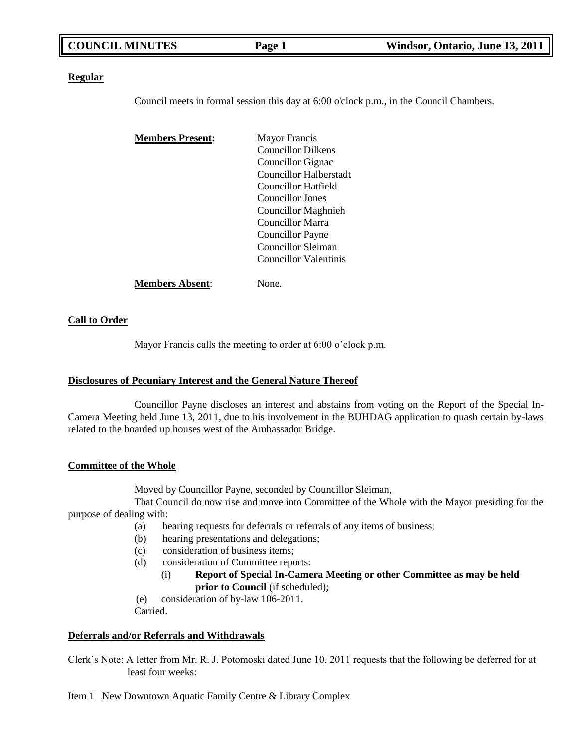| <b>COUNCIL MINUTES</b> | Page 1 | Windsor, Ontario, June 13, 2011 |
|------------------------|--------|---------------------------------|
|                        |        |                                 |

#### **Regular**

Council meets in formal session this day at 6:00 o'clock p.m., in the Council Chambers.

| <b>Members Present:</b> | <b>Mayor Francis</b>       |  |
|-------------------------|----------------------------|--|
|                         | <b>Councillor Dilkens</b>  |  |
|                         | Councillor Gignac          |  |
|                         | Councillor Halberstadt     |  |
|                         | Councillor Hatfield        |  |
|                         | Councillor Jones           |  |
|                         | <b>Councillor Maghnieh</b> |  |
|                         | Councillor Marra           |  |
|                         | <b>Councillor Payne</b>    |  |
|                         | Councillor Sleiman         |  |
|                         | Councillor Valentinis      |  |
| Members Absent:         | √one                       |  |

#### **Call to Order**

Mayor Francis calls the meeting to order at 6:00 o'clock p.m.

#### **Disclosures of Pecuniary Interest and the General Nature Thereof**

Councillor Payne discloses an interest and abstains from voting on the Report of the Special In-Camera Meeting held June 13, 2011, due to his involvement in the BUHDAG application to quash certain by-laws related to the boarded up houses west of the Ambassador Bridge.

#### **Committee of the Whole**

Moved by Councillor Payne, seconded by Councillor Sleiman,

That Council do now rise and move into Committee of the Whole with the Mayor presiding for the purpose of dealing with:

- (a) hearing requests for deferrals or referrals of any items of business;
- (b) hearing presentations and delegations;
- (c) consideration of business items;
- (d) consideration of Committee reports:
	- (i) **Report of Special In-Camera Meeting or other Committee as may be held prior to Council** (if scheduled);
- (e) consideration of by-law 106-2011. Carried.

#### **Deferrals and/or Referrals and Withdrawals**

Clerk's Note: A letter from Mr. R. J. Potomoski dated June 10, 2011 requests that the following be deferred for at least four weeks:

#### Item 1 New Downtown Aquatic Family Centre & Library Complex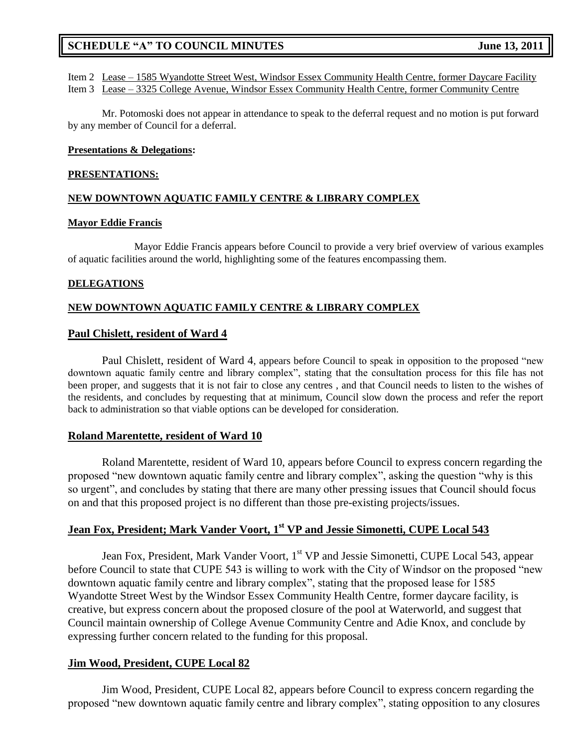Item 2 Lease – 1585 Wyandotte Street West, Windsor Essex Community Health Centre, former Daycare Facility Item 3 Lease – 3325 College Avenue, Windsor Essex Community Health Centre, former Community Centre

Mr. Potomoski does not appear in attendance to speak to the deferral request and no motion is put forward by any member of Council for a deferral.

#### **Presentations & Delegations:**

#### **PRESENTATIONS:**

#### **NEW DOWNTOWN AQUATIC FAMILY CENTRE & LIBRARY COMPLEX**

#### **Mayor Eddie Francis**

Mayor Eddie Francis appears before Council to provide a very brief overview of various examples of aquatic facilities around the world, highlighting some of the features encompassing them.

#### **DELEGATIONS**

#### **NEW DOWNTOWN AQUATIC FAMILY CENTRE & LIBRARY COMPLEX**

#### **Paul Chislett, resident of Ward 4**

Paul Chislett, resident of Ward 4, appears before Council to speak in opposition to the proposed "new downtown aquatic family centre and library complex", stating that the consultation process for this file has not been proper, and suggests that it is not fair to close any centres , and that Council needs to listen to the wishes of the residents, and concludes by requesting that at minimum, Council slow down the process and refer the report back to administration so that viable options can be developed for consideration.

### **Roland Marentette, resident of Ward 10**

Roland Marentette, resident of Ward 10, appears before Council to express concern regarding the proposed "new downtown aquatic family centre and library complex", asking the question "why is this so urgent", and concludes by stating that there are many other pressing issues that Council should focus on and that this proposed project is no different than those pre-existing projects/issues.

### **Jean Fox, President; Mark Vander Voort, 1st VP and Jessie Simonetti, CUPE Local 543**

Jean Fox, President, Mark Vander Voort, 1<sup>st</sup> VP and Jessie Simonetti, CUPE Local 543, appear before Council to state that CUPE 543 is willing to work with the City of Windsor on the proposed "new downtown aquatic family centre and library complex", stating that the proposed lease for 1585 Wyandotte Street West by the Windsor Essex Community Health Centre, former daycare facility, is creative, but express concern about the proposed closure of the pool at Waterworld, and suggest that Council maintain ownership of College Avenue Community Centre and Adie Knox, and conclude by expressing further concern related to the funding for this proposal.

#### **Jim Wood, President, CUPE Local 82**

Jim Wood, President, CUPE Local 82, appears before Council to express concern regarding the proposed "new downtown aquatic family centre and library complex", stating opposition to any closures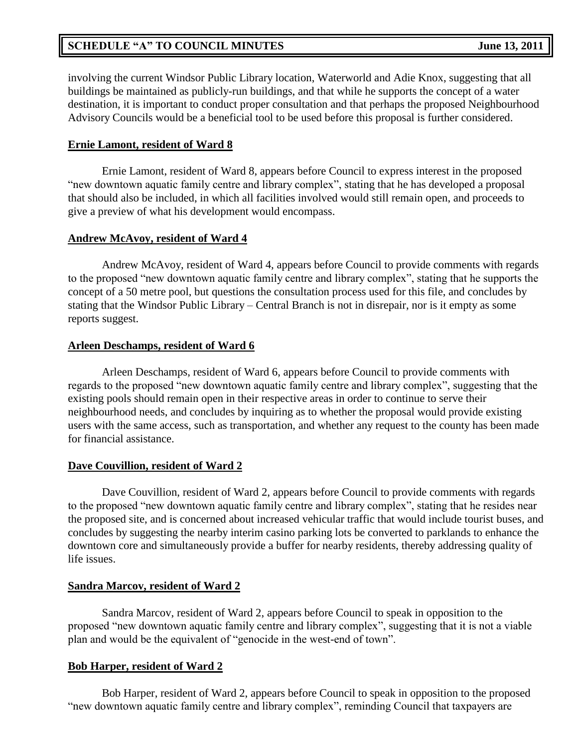involving the current Windsor Public Library location, Waterworld and Adie Knox, suggesting that all buildings be maintained as publicly-run buildings, and that while he supports the concept of a water destination, it is important to conduct proper consultation and that perhaps the proposed Neighbourhood Advisory Councils would be a beneficial tool to be used before this proposal is further considered.

### **Ernie Lamont, resident of Ward 8**

Ernie Lamont, resident of Ward 8, appears before Council to express interest in the proposed "new downtown aquatic family centre and library complex", stating that he has developed a proposal that should also be included, in which all facilities involved would still remain open, and proceeds to give a preview of what his development would encompass.

### **Andrew McAvoy, resident of Ward 4**

Andrew McAvoy, resident of Ward 4, appears before Council to provide comments with regards to the proposed "new downtown aquatic family centre and library complex", stating that he supports the concept of a 50 metre pool, but questions the consultation process used for this file, and concludes by stating that the Windsor Public Library – Central Branch is not in disrepair, nor is it empty as some reports suggest.

### **Arleen Deschamps, resident of Ward 6**

Arleen Deschamps, resident of Ward 6, appears before Council to provide comments with regards to the proposed "new downtown aquatic family centre and library complex", suggesting that the existing pools should remain open in their respective areas in order to continue to serve their neighbourhood needs, and concludes by inquiring as to whether the proposal would provide existing users with the same access, such as transportation, and whether any request to the county has been made for financial assistance.

### **Dave Couvillion, resident of Ward 2**

Dave Couvillion, resident of Ward 2, appears before Council to provide comments with regards to the proposed "new downtown aquatic family centre and library complex", stating that he resides near the proposed site, and is concerned about increased vehicular traffic that would include tourist buses, and concludes by suggesting the nearby interim casino parking lots be converted to parklands to enhance the downtown core and simultaneously provide a buffer for nearby residents, thereby addressing quality of life issues.

#### **Sandra Marcov, resident of Ward 2**

Sandra Marcov, resident of Ward 2, appears before Council to speak in opposition to the proposed "new downtown aquatic family centre and library complex", suggesting that it is not a viable plan and would be the equivalent of "genocide in the west-end of town".

#### **Bob Harper, resident of Ward 2**

Bob Harper, resident of Ward 2, appears before Council to speak in opposition to the proposed "new downtown aquatic family centre and library complex", reminding Council that taxpayers are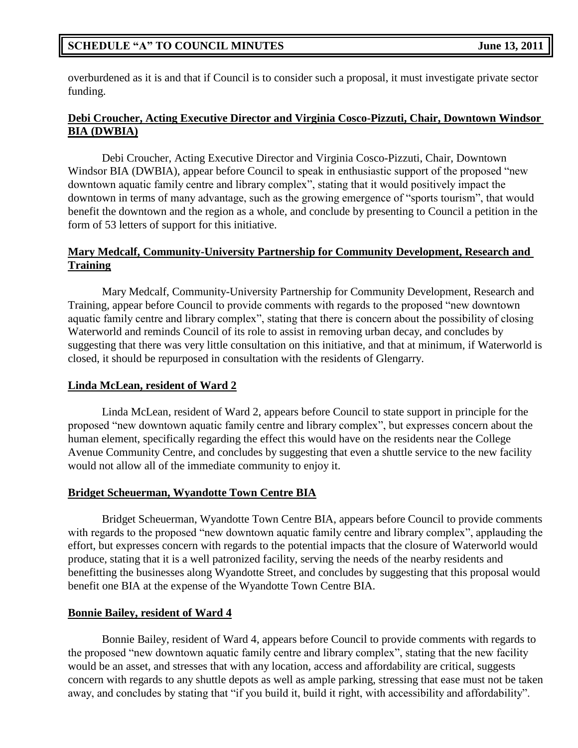overburdened as it is and that if Council is to consider such a proposal, it must investigate private sector funding.

### **Debi Croucher, Acting Executive Director and Virginia Cosco-Pizzuti, Chair, Downtown Windsor BIA (DWBIA)**

Debi Croucher, Acting Executive Director and Virginia Cosco-Pizzuti, Chair, Downtown Windsor BIA (DWBIA), appear before Council to speak in enthusiastic support of the proposed "new downtown aquatic family centre and library complex", stating that it would positively impact the downtown in terms of many advantage, such as the growing emergence of "sports tourism", that would benefit the downtown and the region as a whole, and conclude by presenting to Council a petition in the form of 53 letters of support for this initiative.

## **Mary Medcalf, Community-University Partnership for Community Development, Research and Training**

Mary Medcalf, Community-University Partnership for Community Development, Research and Training, appear before Council to provide comments with regards to the proposed "new downtown aquatic family centre and library complex", stating that there is concern about the possibility of closing Waterworld and reminds Council of its role to assist in removing urban decay, and concludes by suggesting that there was very little consultation on this initiative, and that at minimum, if Waterworld is closed, it should be repurposed in consultation with the residents of Glengarry.

### **Linda McLean, resident of Ward 2**

Linda McLean, resident of Ward 2, appears before Council to state support in principle for the proposed "new downtown aquatic family centre and library complex", but expresses concern about the human element, specifically regarding the effect this would have on the residents near the College Avenue Community Centre, and concludes by suggesting that even a shuttle service to the new facility would not allow all of the immediate community to enjoy it.

### **Bridget Scheuerman, Wyandotte Town Centre BIA**

Bridget Scheuerman, Wyandotte Town Centre BIA, appears before Council to provide comments with regards to the proposed "new downtown aquatic family centre and library complex", applauding the effort, but expresses concern with regards to the potential impacts that the closure of Waterworld would produce, stating that it is a well patronized facility, serving the needs of the nearby residents and benefitting the businesses along Wyandotte Street, and concludes by suggesting that this proposal would benefit one BIA at the expense of the Wyandotte Town Centre BIA.

### **Bonnie Bailey, resident of Ward 4**

Bonnie Bailey, resident of Ward 4, appears before Council to provide comments with regards to the proposed "new downtown aquatic family centre and library complex", stating that the new facility would be an asset, and stresses that with any location, access and affordability are critical, suggests concern with regards to any shuttle depots as well as ample parking, stressing that ease must not be taken away, and concludes by stating that "if you build it, build it right, with accessibility and affordability".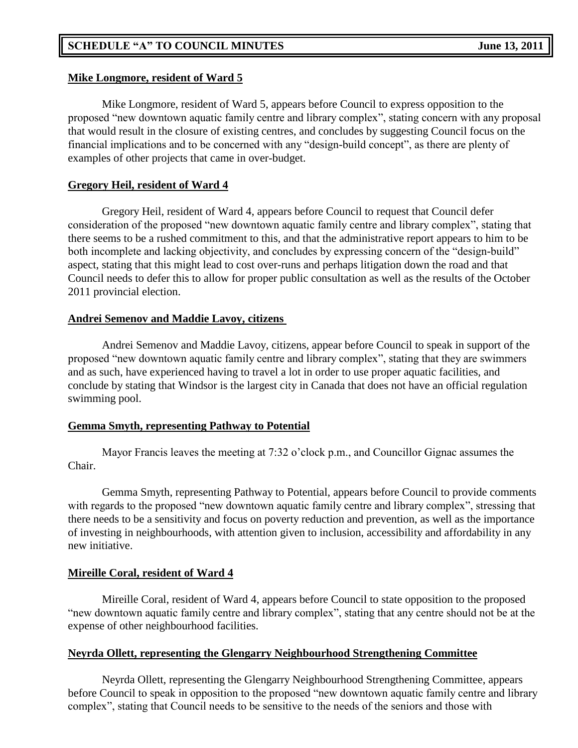### **Mike Longmore, resident of Ward 5**

Mike Longmore, resident of Ward 5, appears before Council to express opposition to the proposed "new downtown aquatic family centre and library complex", stating concern with any proposal that would result in the closure of existing centres, and concludes by suggesting Council focus on the financial implications and to be concerned with any "design-build concept", as there are plenty of examples of other projects that came in over-budget.

### **Gregory Heil, resident of Ward 4**

Gregory Heil, resident of Ward 4, appears before Council to request that Council defer consideration of the proposed "new downtown aquatic family centre and library complex", stating that there seems to be a rushed commitment to this, and that the administrative report appears to him to be both incomplete and lacking objectivity, and concludes by expressing concern of the "design-build" aspect, stating that this might lead to cost over-runs and perhaps litigation down the road and that Council needs to defer this to allow for proper public consultation as well as the results of the October 2011 provincial election.

### **Andrei Semenov and Maddie Lavoy, citizens**

Andrei Semenov and Maddie Lavoy, citizens, appear before Council to speak in support of the proposed "new downtown aquatic family centre and library complex", stating that they are swimmers and as such, have experienced having to travel a lot in order to use proper aquatic facilities, and conclude by stating that Windsor is the largest city in Canada that does not have an official regulation swimming pool.

### **Gemma Smyth, representing Pathway to Potential**

Mayor Francis leaves the meeting at 7:32 o'clock p.m., and Councillor Gignac assumes the Chair.

Gemma Smyth, representing Pathway to Potential, appears before Council to provide comments with regards to the proposed "new downtown aquatic family centre and library complex", stressing that there needs to be a sensitivity and focus on poverty reduction and prevention, as well as the importance of investing in neighbourhoods, with attention given to inclusion, accessibility and affordability in any new initiative.

### **Mireille Coral, resident of Ward 4**

Mireille Coral, resident of Ward 4, appears before Council to state opposition to the proposed "new downtown aquatic family centre and library complex", stating that any centre should not be at the expense of other neighbourhood facilities.

### **Neyrda Ollett, representing the Glengarry Neighbourhood Strengthening Committee**

Neyrda Ollett, representing the Glengarry Neighbourhood Strengthening Committee, appears before Council to speak in opposition to the proposed "new downtown aquatic family centre and library complex", stating that Council needs to be sensitive to the needs of the seniors and those with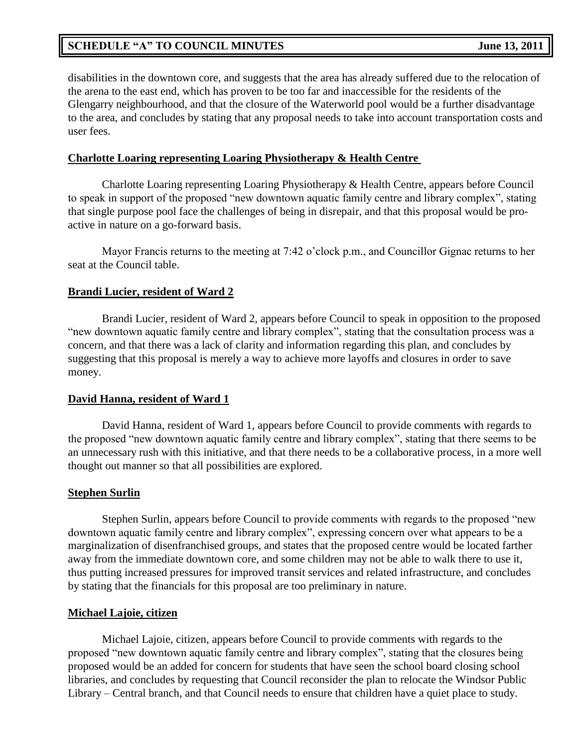disabilities in the downtown core, and suggests that the area has already suffered due to the relocation of the arena to the east end, which has proven to be too far and inaccessible for the residents of the Glengarry neighbourhood, and that the closure of the Waterworld pool would be a further disadvantage to the area, and concludes by stating that any proposal needs to take into account transportation costs and user fees.

### **Charlotte Loaring representing Loaring Physiotherapy & Health Centre**

Charlotte Loaring representing Loaring Physiotherapy & Health Centre, appears before Council to speak in support of the proposed "new downtown aquatic family centre and library complex", stating that single purpose pool face the challenges of being in disrepair, and that this proposal would be proactive in nature on a go-forward basis.

Mayor Francis returns to the meeting at 7:42 o'clock p.m., and Councillor Gignac returns to her seat at the Council table.

### **Brandi Lucier, resident of Ward 2**

Brandi Lucier, resident of Ward 2, appears before Council to speak in opposition to the proposed "new downtown aquatic family centre and library complex", stating that the consultation process was a concern, and that there was a lack of clarity and information regarding this plan, and concludes by suggesting that this proposal is merely a way to achieve more layoffs and closures in order to save money.

#### **David Hanna, resident of Ward 1**

David Hanna, resident of Ward 1, appears before Council to provide comments with regards to the proposed "new downtown aquatic family centre and library complex", stating that there seems to be an unnecessary rush with this initiative, and that there needs to be a collaborative process, in a more well thought out manner so that all possibilities are explored.

#### **Stephen Surlin**

Stephen Surlin, appears before Council to provide comments with regards to the proposed "new downtown aquatic family centre and library complex", expressing concern over what appears to be a marginalization of disenfranchised groups, and states that the proposed centre would be located farther away from the immediate downtown core, and some children may not be able to walk there to use it, thus putting increased pressures for improved transit services and related infrastructure, and concludes by stating that the financials for this proposal are too preliminary in nature.

#### **Michael Lajoie, citizen**

Michael Lajoie, citizen, appears before Council to provide comments with regards to the proposed "new downtown aquatic family centre and library complex", stating that the closures being proposed would be an added for concern for students that have seen the school board closing school libraries, and concludes by requesting that Council reconsider the plan to relocate the Windsor Public Library – Central branch, and that Council needs to ensure that children have a quiet place to study.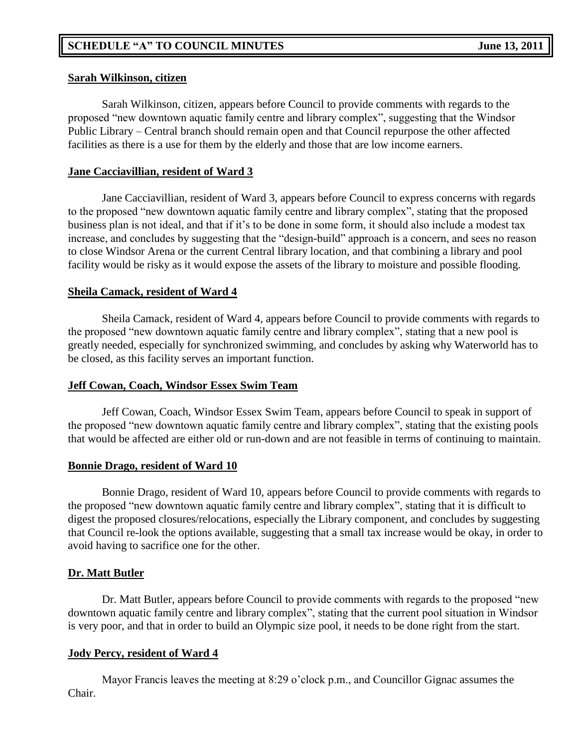### **Sarah Wilkinson, citizen**

Sarah Wilkinson, citizen, appears before Council to provide comments with regards to the proposed "new downtown aquatic family centre and library complex", suggesting that the Windsor Public Library – Central branch should remain open and that Council repurpose the other affected facilities as there is a use for them by the elderly and those that are low income earners.

## **Jane Cacciavillian, resident of Ward 3**

Jane Cacciavillian, resident of Ward 3, appears before Council to express concerns with regards to the proposed "new downtown aquatic family centre and library complex", stating that the proposed business plan is not ideal, and that if it's to be done in some form, it should also include a modest tax increase, and concludes by suggesting that the "design-build" approach is a concern, and sees no reason to close Windsor Arena or the current Central library location, and that combining a library and pool facility would be risky as it would expose the assets of the library to moisture and possible flooding.

### **Sheila Camack, resident of Ward 4**

Sheila Camack, resident of Ward 4, appears before Council to provide comments with regards to the proposed "new downtown aquatic family centre and library complex", stating that a new pool is greatly needed, especially for synchronized swimming, and concludes by asking why Waterworld has to be closed, as this facility serves an important function.

### **Jeff Cowan, Coach, Windsor Essex Swim Team**

Jeff Cowan, Coach, Windsor Essex Swim Team, appears before Council to speak in support of the proposed "new downtown aquatic family centre and library complex", stating that the existing pools that would be affected are either old or run-down and are not feasible in terms of continuing to maintain.

### **Bonnie Drago, resident of Ward 10**

Bonnie Drago, resident of Ward 10, appears before Council to provide comments with regards to the proposed "new downtown aquatic family centre and library complex", stating that it is difficult to digest the proposed closures/relocations, especially the Library component, and concludes by suggesting that Council re-look the options available, suggesting that a small tax increase would be okay, in order to avoid having to sacrifice one for the other.

## **Dr. Matt Butler**

Dr. Matt Butler, appears before Council to provide comments with regards to the proposed "new downtown aquatic family centre and library complex", stating that the current pool situation in Windsor is very poor, and that in order to build an Olympic size pool, it needs to be done right from the start.

## **Jody Percy, resident of Ward 4**

Mayor Francis leaves the meeting at 8:29 o'clock p.m., and Councillor Gignac assumes the Chair.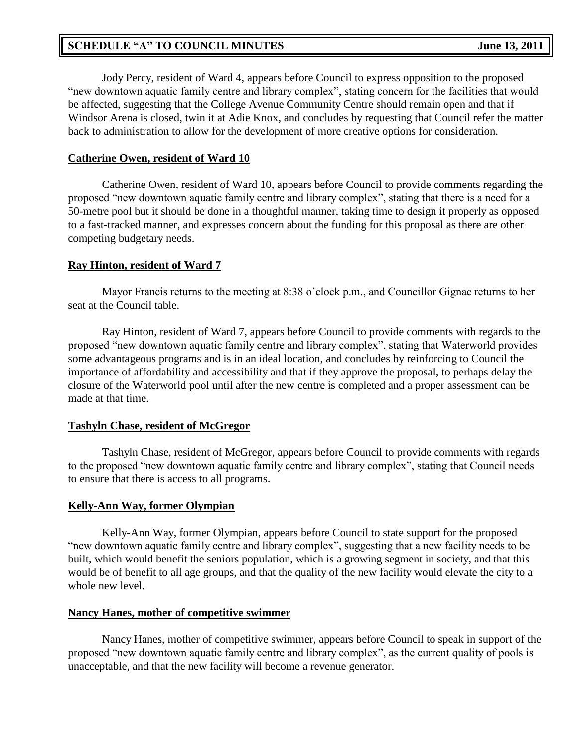Jody Percy, resident of Ward 4, appears before Council to express opposition to the proposed "new downtown aquatic family centre and library complex", stating concern for the facilities that would be affected, suggesting that the College Avenue Community Centre should remain open and that if Windsor Arena is closed, twin it at Adie Knox, and concludes by requesting that Council refer the matter back to administration to allow for the development of more creative options for consideration.

### **Catherine Owen, resident of Ward 10**

Catherine Owen, resident of Ward 10, appears before Council to provide comments regarding the proposed "new downtown aquatic family centre and library complex", stating that there is a need for a 50-metre pool but it should be done in a thoughtful manner, taking time to design it properly as opposed to a fast-tracked manner, and expresses concern about the funding for this proposal as there are other competing budgetary needs.

### **Ray Hinton, resident of Ward 7**

Mayor Francis returns to the meeting at 8:38 o'clock p.m., and Councillor Gignac returns to her seat at the Council table.

Ray Hinton, resident of Ward 7, appears before Council to provide comments with regards to the proposed "new downtown aquatic family centre and library complex", stating that Waterworld provides some advantageous programs and is in an ideal location, and concludes by reinforcing to Council the importance of affordability and accessibility and that if they approve the proposal, to perhaps delay the closure of the Waterworld pool until after the new centre is completed and a proper assessment can be made at that time.

## **Tashyln Chase, resident of McGregor**

Tashyln Chase, resident of McGregor, appears before Council to provide comments with regards to the proposed "new downtown aquatic family centre and library complex", stating that Council needs to ensure that there is access to all programs.

### **Kelly-Ann Way, former Olympian**

Kelly-Ann Way, former Olympian, appears before Council to state support for the proposed "new downtown aquatic family centre and library complex", suggesting that a new facility needs to be built, which would benefit the seniors population, which is a growing segment in society, and that this would be of benefit to all age groups, and that the quality of the new facility would elevate the city to a whole new level.

### **Nancy Hanes, mother of competitive swimmer**

Nancy Hanes, mother of competitive swimmer, appears before Council to speak in support of the proposed "new downtown aquatic family centre and library complex", as the current quality of pools is unacceptable, and that the new facility will become a revenue generator.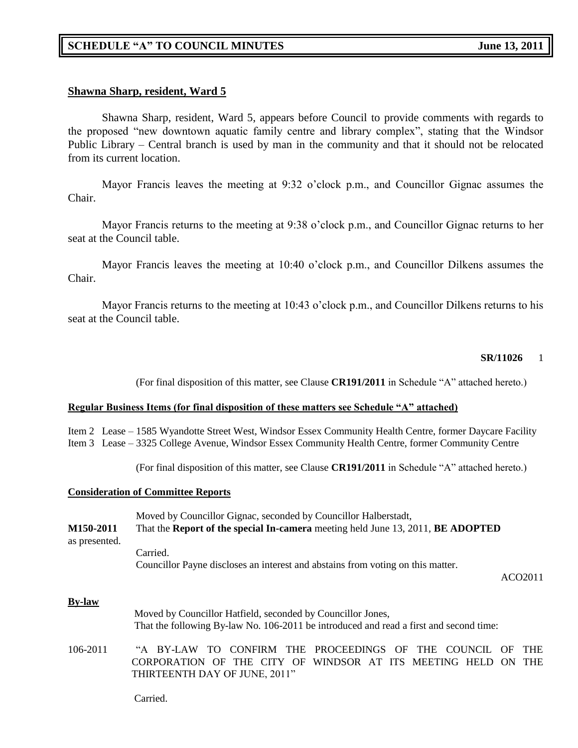### **Shawna Sharp, resident, Ward 5**

Shawna Sharp, resident, Ward 5, appears before Council to provide comments with regards to the proposed "new downtown aquatic family centre and library complex", stating that the Windsor Public Library – Central branch is used by man in the community and that it should not be relocated from its current location.

Mayor Francis leaves the meeting at 9:32 o'clock p.m., and Councillor Gignac assumes the Chair.

Mayor Francis returns to the meeting at 9:38 o'clock p.m., and Councillor Gignac returns to her seat at the Council table.

Mayor Francis leaves the meeting at 10:40 o'clock p.m., and Councillor Dilkens assumes the Chair.

Mayor Francis returns to the meeting at 10:43 o'clock p.m., and Councillor Dilkens returns to his seat at the Council table.

#### **SR/11026** 1

(For final disposition of this matter, see Clause **CR191/2011** in Schedule "A" attached hereto.)

#### **Regular Business Items (for final disposition of these matters see Schedule "A" attached)**

Item 2 Lease – 1585 Wyandotte Street West, Windsor Essex Community Health Centre, former Daycare Facility Item 3 Lease – 3325 College Avenue, Windsor Essex Community Health Centre, former Community Centre

(For final disposition of this matter, see Clause **CR191/2011** in Schedule "A" attached hereto.)

#### **Consideration of Committee Reports**

|               | Moved by Councillor Gignac, seconded by Councillor Halberstadt,                 |  |
|---------------|---------------------------------------------------------------------------------|--|
| M150-2011     | That the Report of the special In-camera meeting held June 13, 2011, BE ADOPTED |  |
| as presented. |                                                                                 |  |
|               | Carried.                                                                        |  |
|               | Councillor Payne discloses an interest and abstains from voting on this matter. |  |
|               |                                                                                 |  |

ACO2011

#### **By-law**

- Moved by Councillor Hatfield, seconded by Councillor Jones, That the following By-law No. 106-2011 be introduced and read a first and second time:
- 106-2011 "A BY-LAW TO CONFIRM THE PROCEEDINGS OF THE COUNCIL OF THE CORPORATION OF THE CITY OF WINDSOR AT ITS MEETING HELD ON THE THIRTEENTH DAY OF JUNE, 2011"

Carried.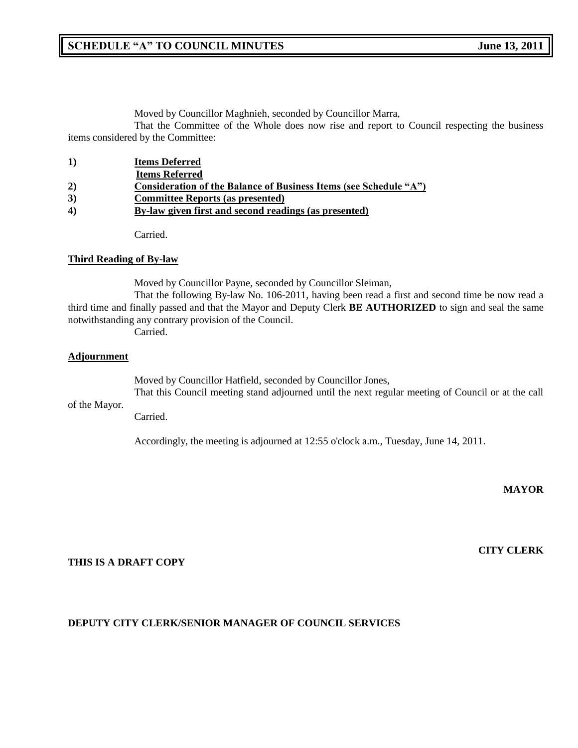Moved by Councillor Maghnieh, seconded by Councillor Marra,

That the Committee of the Whole does now rise and report to Council respecting the business items considered by the Committee:

| 1) | <b>Items Deferred</b>                                             |
|----|-------------------------------------------------------------------|
|    | <b>Items Referred</b>                                             |
| 2) | Consideration of the Balance of Business Items (see Schedule "A") |
| 3) | <b>Committee Reports (as presented)</b>                           |
| 4) | By-law given first and second readings (as presented)             |
|    |                                                                   |

Carried.

#### **Third Reading of By-law**

Moved by Councillor Payne, seconded by Councillor Sleiman,

That the following By-law No. 106-2011, having been read a first and second time be now read a third time and finally passed and that the Mayor and Deputy Clerk **BE AUTHORIZED** to sign and seal the same notwithstanding any contrary provision of the Council.

Carried.

#### **Adjournment**

Moved by Councillor Hatfield, seconded by Councillor Jones, That this Council meeting stand adjourned until the next regular meeting of Council or at the call

of the Mayor.

Carried.

Accordingly, the meeting is adjourned at 12:55 o'clock a.m., Tuesday, June 14, 2011.

**MAYOR**

**CITY CLERK**

#### **THIS IS A DRAFT COPY**

### **DEPUTY CITY CLERK/SENIOR MANAGER OF COUNCIL SERVICES**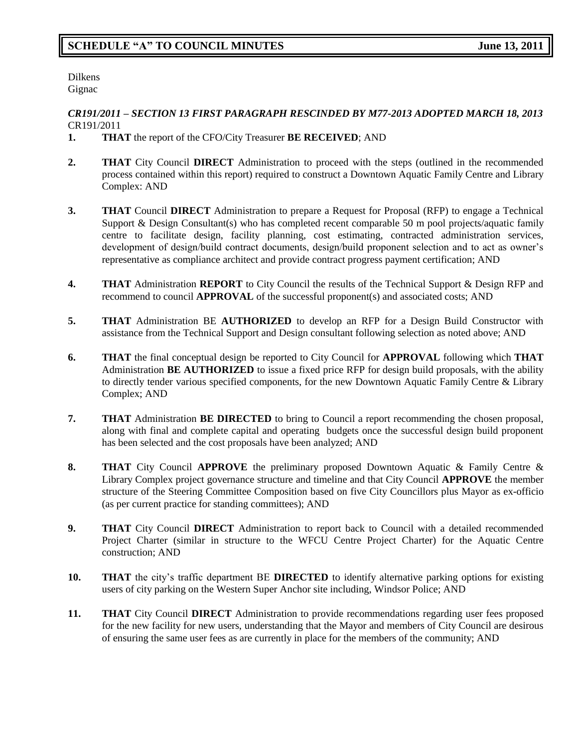Dilkens Gignac

#### *CR191/2011 – SECTION 13 FIRST PARAGRAPH RESCINDED BY M77-2013 ADOPTED MARCH 18, 2013* CR191/2011

- **1. THAT** the report of the CFO/City Treasurer **BE RECEIVED**; AND
- **2. THAT** City Council **DIRECT** Administration to proceed with the steps (outlined in the recommended process contained within this report) required to construct a Downtown Aquatic Family Centre and Library Complex: AND
- **3. THAT** Council **DIRECT** Administration to prepare a Request for Proposal (RFP) to engage a Technical Support & Design Consultant(s) who has completed recent comparable 50 m pool projects/aquatic family centre to facilitate design, facility planning, cost estimating, contracted administration services, development of design/build contract documents, design/build proponent selection and to act as owner's representative as compliance architect and provide contract progress payment certification; AND
- **4. THAT** Administration **REPORT** to City Council the results of the Technical Support & Design RFP and recommend to council **APPROVAL** of the successful proponent(s) and associated costs; AND
- **5. THAT** Administration BE **AUTHORIZED** to develop an RFP for a Design Build Constructor with assistance from the Technical Support and Design consultant following selection as noted above; AND
- **6. THAT** the final conceptual design be reported to City Council for **APPROVAL** following which **THAT** Administration **BE AUTHORIZED** to issue a fixed price RFP for design build proposals, with the ability to directly tender various specified components, for the new Downtown Aquatic Family Centre & Library Complex; AND
- **7. THAT** Administration **BE DIRECTED** to bring to Council a report recommending the chosen proposal, along with final and complete capital and operating budgets once the successful design build proponent has been selected and the cost proposals have been analyzed; AND
- **8. THAT** City Council **APPROVE** the preliminary proposed Downtown Aquatic & Family Centre & Library Complex project governance structure and timeline and that City Council **APPROVE** the member structure of the Steering Committee Composition based on five City Councillors plus Mayor as ex-officio (as per current practice for standing committees); AND
- **9. THAT** City Council **DIRECT** Administration to report back to Council with a detailed recommended Project Charter (similar in structure to the WFCU Centre Project Charter) for the Aquatic Centre construction; AND
- **10. THAT** the city's traffic department BE **DIRECTED** to identify alternative parking options for existing users of city parking on the Western Super Anchor site including, Windsor Police; AND
- **11. THAT** City Council **DIRECT** Administration to provide recommendations regarding user fees proposed for the new facility for new users, understanding that the Mayor and members of City Council are desirous of ensuring the same user fees as are currently in place for the members of the community; AND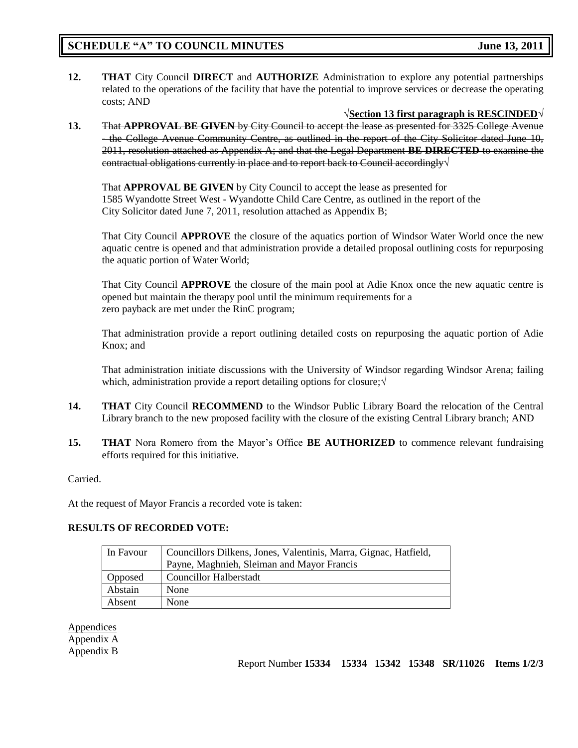**12. THAT** City Council **DIRECT** and **AUTHORIZE** Administration to explore any potential partnerships related to the operations of the facility that have the potential to improve services or decrease the operating costs; AND

√**Section 13 first paragraph is RESCINDED**√

**13.** That **APPROVAL BE GIVEN** by City Council to accept the lease as presented for 3325 College Avenue - the College Avenue Community Centre, as outlined in the report of the City Solicitor dated June 10, 2011, resolution attached as Appendix A; and that the Legal Department **BE DIRECTED** to examine the contractual obligations currently in place and to report back to Council accordingly√

That **APPROVAL BE GIVEN** by City Council to accept the lease as presented for 1585 Wyandotte Street West - Wyandotte Child Care Centre, as outlined in the report of the City Solicitor dated June 7, 2011, resolution attached as Appendix B;

That City Council **APPROVE** the closure of the aquatics portion of Windsor Water World once the new aquatic centre is opened and that administration provide a detailed proposal outlining costs for repurposing the aquatic portion of Water World;

That City Council **APPROVE** the closure of the main pool at Adie Knox once the new aquatic centre is opened but maintain the therapy pool until the minimum requirements for a zero payback are met under the RinC program;

That administration provide a report outlining detailed costs on repurposing the aquatic portion of Adie Knox; and

That administration initiate discussions with the University of Windsor regarding Windsor Arena; failing which, administration provide a report detailing options for closure;√

- **14. THAT** City Council **RECOMMEND** to the Windsor Public Library Board the relocation of the Central Library branch to the new proposed facility with the closure of the existing Central Library branch; AND
- **15. THAT** Nora Romero from the Mayor's Office **BE AUTHORIZED** to commence relevant fundraising efforts required for this initiative.

#### Carried.

At the request of Mayor Francis a recorded vote is taken:

#### **RESULTS OF RECORDED VOTE:**

| In Favour | Councillors Dilkens, Jones, Valentinis, Marra, Gignac, Hatfield, |  |  |
|-----------|------------------------------------------------------------------|--|--|
|           | Payne, Maghnieh, Sleiman and Mayor Francis                       |  |  |
| Opposed   | <b>Councillor Halberstadt</b>                                    |  |  |
| Abstain   | None                                                             |  |  |
| Absent    | None                                                             |  |  |

**Appendices** Appendix A Appendix B

Report Number **15334 15334 15342 15348 SR/11026 Items 1/2/3**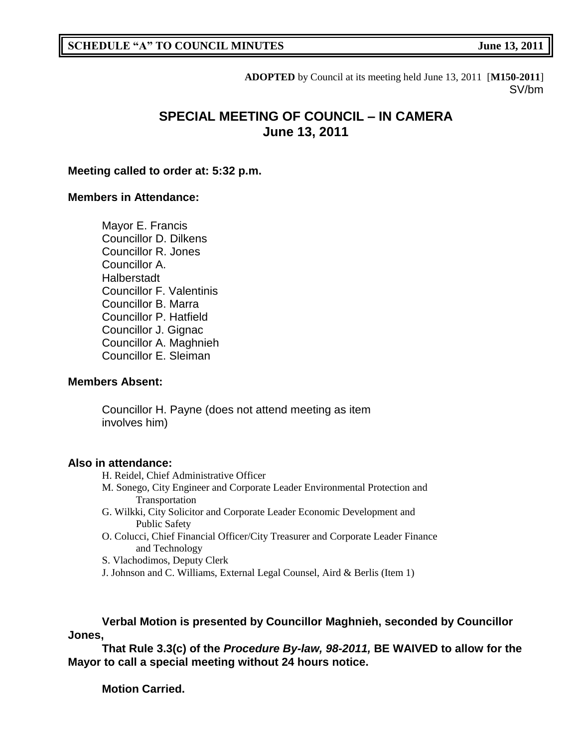**ADOPTED** by Council at its meeting held June 13, 2011 [**M150-2011**] SV/bm

# **SPECIAL MEETING OF COUNCIL – IN CAMERA June 13, 2011**

### **Meeting called to order at: 5:32 p.m.**

### **Members in Attendance:**

Mayor E. Francis Councillor D. Dilkens Councillor R. Jones Councillor A. Halberstadt Councillor F. Valentinis Councillor B. Marra Councillor P. Hatfield Councillor J. Gignac Councillor A. Maghnieh Councillor E. Sleiman

### **Members Absent:**

Councillor H. Payne (does not attend meeting as item involves him)

#### **Also in attendance:**

- H. Reidel, Chief Administrative Officer
- M. Sonego, City Engineer and Corporate Leader Environmental Protection and Transportation
- G. Wilkki, City Solicitor and Corporate Leader Economic Development and Public Safety
- O. Colucci, Chief Financial Officer/City Treasurer and Corporate Leader Finance and Technology

S. Vlachodimos, Deputy Clerk

J. Johnson and C. Williams, External Legal Counsel, Aird & Berlis (Item 1)

**Verbal Motion is presented by Councillor Maghnieh, seconded by Councillor Jones,**

**That Rule 3.3(c) of the** *Procedure By-law, 98-2011,* **BE WAIVED to allow for the Mayor to call a special meeting without 24 hours notice.**

**Motion Carried.**